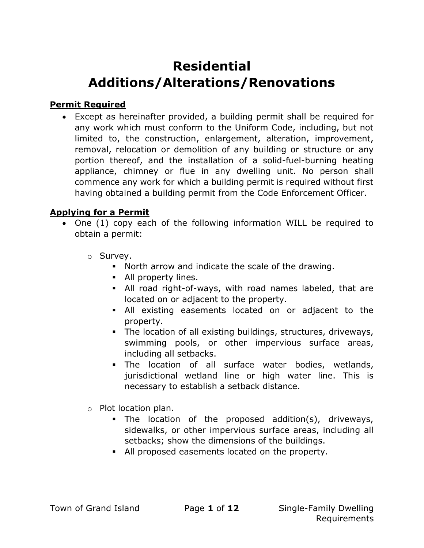# Residential Additions/Alterations/Renovations

#### Permit Required

 Except as hereinafter provided, a building permit shall be required for any work which must conform to the Uniform Code, including, but not limited to, the construction, enlargement, alteration, improvement, removal, relocation or demolition of any building or structure or any portion thereof, and the installation of a solid-fuel-burning heating appliance, chimney or flue in any dwelling unit. No person shall commence any work for which a building permit is required without first having obtained a building permit from the Code Enforcement Officer.

#### Applying for a Permit

- One (1) copy each of the following information WILL be required to obtain a permit:
	- o Survey.
		- North arrow and indicate the scale of the drawing.
		- **All property lines.**
		- All road right-of-ways, with road names labeled, that are located on or adjacent to the property.
		- All existing easements located on or adjacent to the property.
		- The location of all existing buildings, structures, driveways, swimming pools, or other impervious surface areas, including all setbacks.
		- The location of all surface water bodies, wetlands, jurisdictional wetland line or high water line. This is necessary to establish a setback distance.
	- o Plot location plan.
		- The location of the proposed addition(s), driveways, sidewalks, or other impervious surface areas, including all setbacks; show the dimensions of the buildings.
		- All proposed easements located on the property.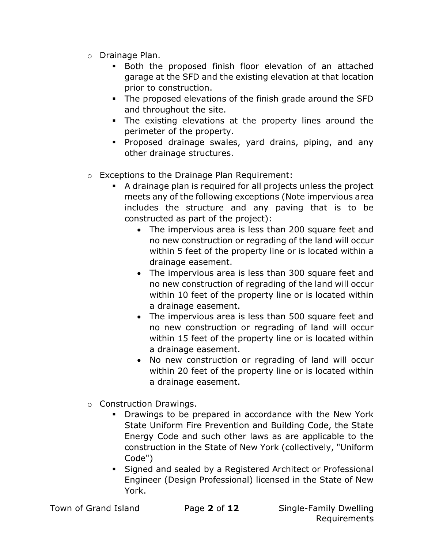- o Drainage Plan.
	- Both the proposed finish floor elevation of an attached garage at the SFD and the existing elevation at that location prior to construction.
	- The proposed elevations of the finish grade around the SFD and throughout the site.
	- The existing elevations at the property lines around the perimeter of the property.
	- Proposed drainage swales, yard drains, piping, and any other drainage structures.
- o Exceptions to the Drainage Plan Requirement:
	- A drainage plan is required for all projects unless the project meets any of the following exceptions (Note impervious area includes the structure and any paving that is to be constructed as part of the project):
		- The impervious area is less than 200 square feet and no new construction or regrading of the land will occur within 5 feet of the property line or is located within a drainage easement.
		- The impervious area is less than 300 square feet and no new construction of regrading of the land will occur within 10 feet of the property line or is located within a drainage easement.
		- The impervious area is less than 500 square feet and no new construction or regrading of land will occur within 15 feet of the property line or is located within a drainage easement.
		- No new construction or regrading of land will occur within 20 feet of the property line or is located within a drainage easement.
- o Construction Drawings.
	- Drawings to be prepared in accordance with the New York State Uniform Fire Prevention and Building Code, the State Energy Code and such other laws as are applicable to the construction in the State of New York (collectively, "Uniform Code")
	- Signed and sealed by a Registered Architect or Professional Engineer (Design Professional) licensed in the State of New York.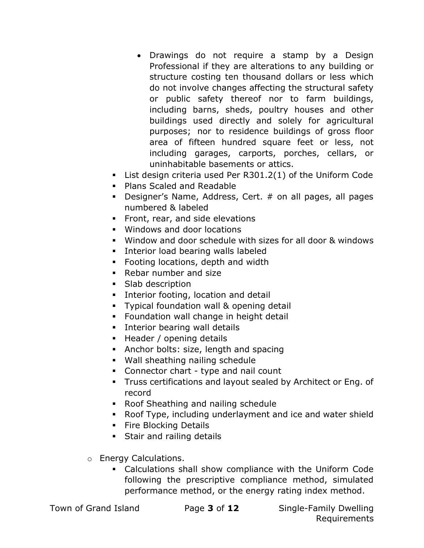- Drawings do not require a stamp by a Design Professional if they are alterations to any building or structure costing ten thousand dollars or less which do not involve changes affecting the structural safety or public safety thereof nor to farm buildings, including barns, sheds, poultry houses and other buildings used directly and solely for agricultural purposes; nor to residence buildings of gross floor area of fifteen hundred square feet or less, not including garages, carports, porches, cellars, or uninhabitable basements or attics.
- List design criteria used Per R301.2(1) of the Uniform Code
- Plans Scaled and Readable
- Designer's Name, Address, Cert. # on all pages, all pages numbered & labeled
- **Front, rear, and side elevations**
- Windows and door locations
- Window and door schedule with sizes for all door & windows
- **Interior load bearing walls labeled**
- Footing locations, depth and width
- Rebar number and size
- Slab description
- **Interior footing, location and detail**
- **Typical foundation wall & opening detail**
- **Foundation wall change in height detail**
- **Interior bearing wall details**
- **Header / opening details**
- Anchor bolts: size, length and spacing
- Wall sheathing nailing schedule
- Connector chart type and nail count
- Truss certifications and layout sealed by Architect or Eng. of record
- Roof Sheathing and nailing schedule
- Roof Type, including underlayment and ice and water shield
- **Fire Blocking Details**
- **Stair and railing details**
- o Energy Calculations.
	- Calculations shall show compliance with the Uniform Code following the prescriptive compliance method, simulated performance method, or the energy rating index method.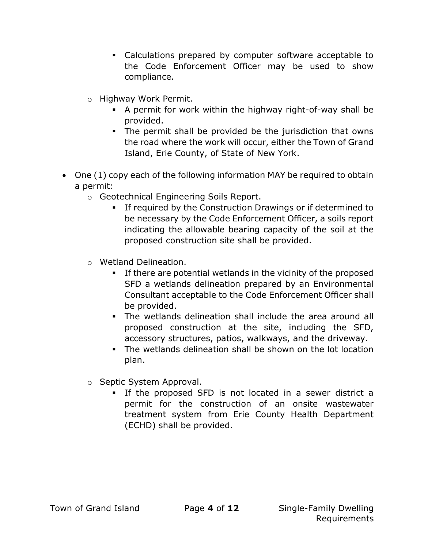- Calculations prepared by computer software acceptable to the Code Enforcement Officer may be used to show compliance.
- o Highway Work Permit.
	- A permit for work within the highway right-of-way shall be provided.
	- The permit shall be provided be the jurisdiction that owns the road where the work will occur, either the Town of Grand Island, Erie County, of State of New York.
- One (1) copy each of the following information MAY be required to obtain a permit:
	- o Geotechnical Engineering Soils Report.
		- **If required by the Construction Drawings or if determined to** be necessary by the Code Enforcement Officer, a soils report indicating the allowable bearing capacity of the soil at the proposed construction site shall be provided.
	- o Wetland Delineation.
		- If there are potential wetlands in the vicinity of the proposed SFD a wetlands delineation prepared by an Environmental Consultant acceptable to the Code Enforcement Officer shall be provided.
		- The wetlands delineation shall include the area around all proposed construction at the site, including the SFD, accessory structures, patios, walkways, and the driveway.
		- The wetlands delineation shall be shown on the lot location plan.
	- o Septic System Approval.
		- If the proposed SFD is not located in a sewer district a permit for the construction of an onsite wastewater treatment system from Erie County Health Department (ECHD) shall be provided.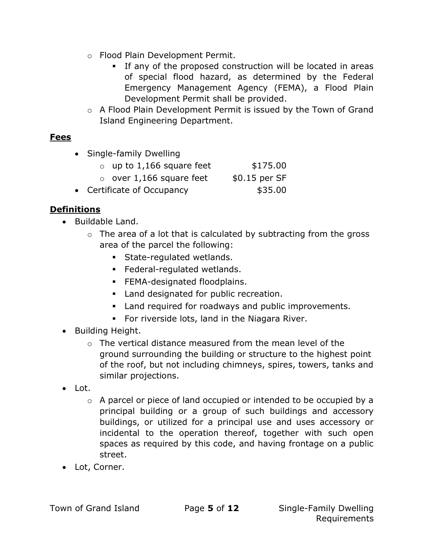- o Flood Plain Development Permit.
	- If any of the proposed construction will be located in areas of special flood hazard, as determined by the Federal Emergency Management Agency (FEMA), a Flood Plain Development Permit shall be provided.
- o A Flood Plain Development Permit is issued by the Town of Grand Island Engineering Department.

## **Fees**

• Single-family Dwelling

| $\circ$ up to 1,166 square feet | \$175.00      |
|---------------------------------|---------------|
| $\circ$ over 1,166 square feet  | \$0.15 per SF |
|                                 |               |

• Certificate of Occupancy **\$35.00** 

## Definitions

- Buildable Land.
	- $\circ$  The area of a lot that is calculated by subtracting from the gross area of the parcel the following:
		- **State-regulated wetlands.**
		- Federal-regulated wetlands.
		- **FEMA-designated floodplains.**
		- **Land designated for public recreation.**
		- Land required for roadways and public improvements.
		- For riverside lots, land in the Niagara River.
- Building Height.
	- o The vertical distance measured from the mean level of the ground surrounding the building or structure to the highest point of the roof, but not including chimneys, spires, towers, tanks and similar projections.
- Lot.
	- o A parcel or piece of land occupied or intended to be occupied by a principal building or a group of such buildings and accessory buildings, or utilized for a principal use and uses accessory or incidental to the operation thereof, together with such open spaces as required by this code, and having frontage on a public street.
- Lot, Corner.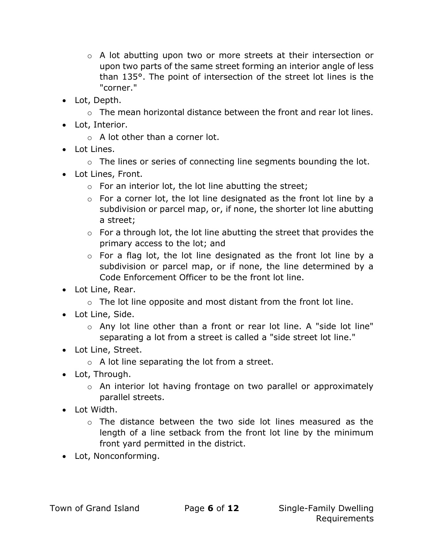- $\circ$  A lot abutting upon two or more streets at their intersection or upon two parts of the same street forming an interior angle of less than 135°. The point of intersection of the street lot lines is the "corner."
- Lot, Depth.
	- $\circ$  The mean horizontal distance between the front and rear lot lines.
- Lot, Interior.
	- o A lot other than a corner lot.
- Lot Lines.
	- o The lines or series of connecting line segments bounding the lot.
- Lot Lines, Front.
	- $\circ$  For an interior lot, the lot line abutting the street;
	- o For a corner lot, the lot line designated as the front lot line by a subdivision or parcel map, or, if none, the shorter lot line abutting a street;
	- $\circ$  For a through lot, the lot line abutting the street that provides the primary access to the lot; and
	- o For a flag lot, the lot line designated as the front lot line by a subdivision or parcel map, or if none, the line determined by a Code Enforcement Officer to be the front lot line.
- Lot Line, Rear.
	- $\circ$  The lot line opposite and most distant from the front lot line.
- Lot Line, Side.
	- o Any lot line other than a front or rear lot line. A "side lot line" separating a lot from a street is called a "side street lot line."
- Lot Line, Street.
	- $\circ$  A lot line separating the lot from a street.
- Lot, Through.
	- o An interior lot having frontage on two parallel or approximately parallel streets.
- Lot Width.
	- $\circ$  The distance between the two side lot lines measured as the length of a line setback from the front lot line by the minimum front yard permitted in the district.
- Lot, Nonconforming.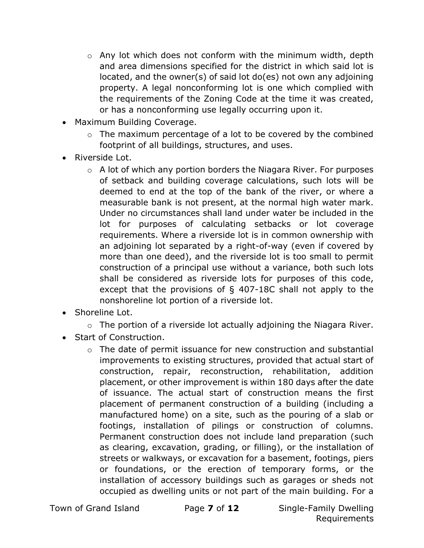- o Any lot which does not conform with the minimum width, depth and area dimensions specified for the district in which said lot is located, and the owner(s) of said lot do(es) not own any adjoining property. A legal nonconforming lot is one which complied with the requirements of the Zoning Code at the time it was created, or has a nonconforming use legally occurring upon it.
- Maximum Building Coverage.
	- o The maximum percentage of a lot to be covered by the combined footprint of all buildings, structures, and uses.
- Riverside Lot.
	- $\circ$  A lot of which any portion borders the Niagara River. For purposes of setback and building coverage calculations, such lots will be deemed to end at the top of the bank of the river, or where a measurable bank is not present, at the normal high water mark. Under no circumstances shall land under water be included in the lot for purposes of calculating setbacks or lot coverage requirements. Where a riverside lot is in common ownership with an adjoining lot separated by a right-of-way (even if covered by more than one deed), and the riverside lot is too small to permit construction of a principal use without a variance, both such lots shall be considered as riverside lots for purposes of this code, except that the provisions of § 407-18C shall not apply to the nonshoreline lot portion of a riverside lot.
- Shoreline Lot.
	- o The portion of a riverside lot actually adjoining the Niagara River.
- Start of Construction.
	- o The date of permit issuance for new construction and substantial improvements to existing structures, provided that actual start of construction, repair, reconstruction, rehabilitation, addition placement, or other improvement is within 180 days after the date of issuance. The actual start of construction means the first placement of permanent construction of a building (including a manufactured home) on a site, such as the pouring of a slab or footings, installation of pilings or construction of columns. Permanent construction does not include land preparation (such as clearing, excavation, grading, or filling), or the installation of streets or walkways, or excavation for a basement, footings, piers or foundations, or the erection of temporary forms, or the installation of accessory buildings such as garages or sheds not occupied as dwelling units or not part of the main building. For a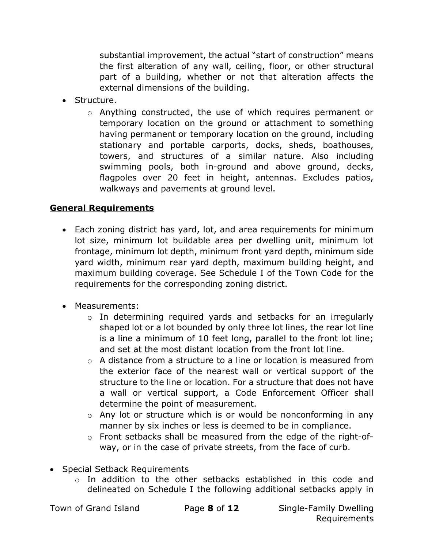substantial improvement, the actual "start of construction" means the first alteration of any wall, ceiling, floor, or other structural part of a building, whether or not that alteration affects the external dimensions of the building.

- Structure.
	- o Anything constructed, the use of which requires permanent or temporary location on the ground or attachment to something having permanent or temporary location on the ground, including stationary and portable carports, docks, sheds, boathouses, towers, and structures of a similar nature. Also including swimming pools, both in-ground and above ground, decks, flagpoles over 20 feet in height, antennas. Excludes patios, walkways and pavements at ground level.

## General Requirements

- Each zoning district has yard, lot, and area requirements for minimum lot size, minimum lot buildable area per dwelling unit, minimum lot frontage, minimum lot depth, minimum front yard depth, minimum side yard width, minimum rear yard depth, maximum building height, and maximum building coverage. See Schedule I of the Town Code for the requirements for the corresponding zoning district.
- Measurements:
	- o In determining required yards and setbacks for an irregularly shaped lot or a lot bounded by only three lot lines, the rear lot line is a line a minimum of 10 feet long, parallel to the front lot line; and set at the most distant location from the front lot line.
	- $\circ$  A distance from a structure to a line or location is measured from the exterior face of the nearest wall or vertical support of the structure to the line or location. For a structure that does not have a wall or vertical support, a Code Enforcement Officer shall determine the point of measurement.
	- o Any lot or structure which is or would be nonconforming in any manner by six inches or less is deemed to be in compliance.
	- $\circ$  Front setbacks shall be measured from the edge of the right-ofway, or in the case of private streets, from the face of curb.
- Special Setback Requirements
	- $\circ$  In addition to the other setbacks established in this code and delineated on Schedule I the following additional setbacks apply in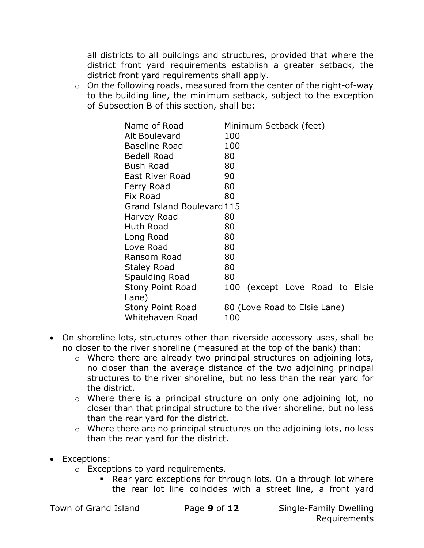all districts to all buildings and structures, provided that where the district front yard requirements establish a greater setback, the district front yard requirements shall apply.

 $\circ$  On the following roads, measured from the center of the right-of-way to the building line, the minimum setback, subject to the exception of Subsection B of this section, shall be:

| Name of Road               | <u>Minimum Setback (feet)</u> |                            |  |  |  |  |  |
|----------------------------|-------------------------------|----------------------------|--|--|--|--|--|
| Alt Boulevard              | 100                           |                            |  |  |  |  |  |
| <b>Baseline Road</b>       | 100                           |                            |  |  |  |  |  |
| <b>Bedell Road</b>         | 80                            |                            |  |  |  |  |  |
| <b>Bush Road</b>           | 80                            |                            |  |  |  |  |  |
| East River Road            | 90                            |                            |  |  |  |  |  |
| Ferry Road                 | 80                            |                            |  |  |  |  |  |
| Fix Road                   | 80                            |                            |  |  |  |  |  |
| Grand Island Boulevard 115 |                               |                            |  |  |  |  |  |
| Harvey Road                | 80                            |                            |  |  |  |  |  |
| Huth Road                  | 80                            |                            |  |  |  |  |  |
| Long Road                  | 80                            |                            |  |  |  |  |  |
| Love Road                  | 80                            |                            |  |  |  |  |  |
| Ransom Road                | 80                            |                            |  |  |  |  |  |
| Staley Road                | 80                            |                            |  |  |  |  |  |
| Spaulding Road             | 80                            |                            |  |  |  |  |  |
| <b>Stony Point Road</b>    | 100                           | (except Love Road to Elsie |  |  |  |  |  |
| Lane)                      |                               |                            |  |  |  |  |  |
| <b>Stony Point Road</b>    | 80 (Love Road to Elsie Lane)  |                            |  |  |  |  |  |
| Whitehaven Road            | 100                           |                            |  |  |  |  |  |

- On shoreline lots, structures other than riverside accessory uses, shall be no closer to the river shoreline (measured at the top of the bank) than:
	- o Where there are already two principal structures on adjoining lots, no closer than the average distance of the two adjoining principal structures to the river shoreline, but no less than the rear yard for the district.
	- o Where there is a principal structure on only one adjoining lot, no closer than that principal structure to the river shoreline, but no less than the rear yard for the district.
	- o Where there are no principal structures on the adjoining lots, no less than the rear yard for the district.
- Exceptions:
	- o Exceptions to yard requirements.
		- Rear yard exceptions for through lots. On a through lot where the rear lot line coincides with a street line, a front yard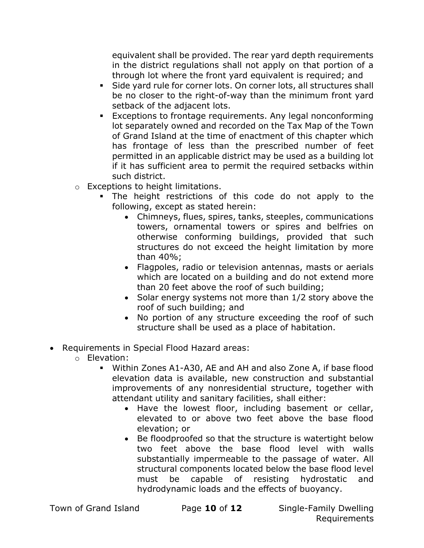equivalent shall be provided. The rear yard depth requirements in the district regulations shall not apply on that portion of a through lot where the front yard equivalent is required; and

- Side yard rule for corner lots. On corner lots, all structures shall be no closer to the right-of-way than the minimum front yard setback of the adjacent lots.
- Exceptions to frontage requirements. Any legal nonconforming lot separately owned and recorded on the Tax Map of the Town of Grand Island at the time of enactment of this chapter which has frontage of less than the prescribed number of feet permitted in an applicable district may be used as a building lot if it has sufficient area to permit the required setbacks within such district.
- o Exceptions to height limitations.
	- The height restrictions of this code do not apply to the following, except as stated herein:
		- Chimneys, flues, spires, tanks, steeples, communications towers, ornamental towers or spires and belfries on otherwise conforming buildings, provided that such structures do not exceed the height limitation by more than 40%;
		- Flagpoles, radio or television antennas, masts or aerials which are located on a building and do not extend more than 20 feet above the roof of such building;
		- Solar energy systems not more than 1/2 story above the roof of such building; and
		- No portion of any structure exceeding the roof of such structure shall be used as a place of habitation.
- Requirements in Special Flood Hazard areas:
	- o Elevation:
		- Within Zones A1-A30, AE and AH and also Zone A, if base flood elevation data is available, new construction and substantial improvements of any nonresidential structure, together with attendant utility and sanitary facilities, shall either:
			- Have the lowest floor, including basement or cellar, elevated to or above two feet above the base flood elevation; or
			- Be floodproofed so that the structure is watertight below two feet above the base flood level with walls substantially impermeable to the passage of water. All structural components located below the base flood level must be capable of resisting hydrostatic and hydrodynamic loads and the effects of buoyancy.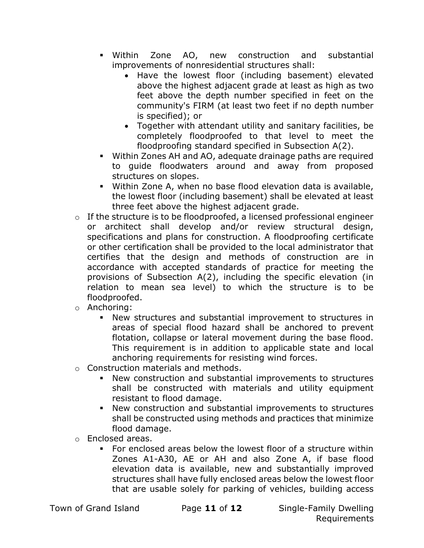- Within Zone AO, new construction and substantial improvements of nonresidential structures shall:
	- Have the lowest floor (including basement) elevated above the highest adjacent grade at least as high as two feet above the depth number specified in feet on the community's FIRM (at least two feet if no depth number is specified); or
	- Together with attendant utility and sanitary facilities, be completely floodproofed to that level to meet the floodproofing standard specified in Subsection A(2).
- Within Zones AH and AO, adequate drainage paths are required to guide floodwaters around and away from proposed structures on slopes.
- Within Zone A, when no base flood elevation data is available, the lowest floor (including basement) shall be elevated at least three feet above the highest adjacent grade.
- $\circ$  If the structure is to be floodproofed, a licensed professional engineer or architect shall develop and/or review structural design, specifications and plans for construction. A floodproofing certificate or other certification shall be provided to the local administrator that certifies that the design and methods of construction are in accordance with accepted standards of practice for meeting the provisions of Subsection A(2), including the specific elevation (in relation to mean sea level) to which the structure is to be floodproofed.
- o Anchoring:
	- New structures and substantial improvement to structures in areas of special flood hazard shall be anchored to prevent flotation, collapse or lateral movement during the base flood. This requirement is in addition to applicable state and local anchoring requirements for resisting wind forces.
- o Construction materials and methods.
	- New construction and substantial improvements to structures shall be constructed with materials and utility equipment resistant to flood damage.
	- New construction and substantial improvements to structures shall be constructed using methods and practices that minimize flood damage.
- o Enclosed areas.
	- For enclosed areas below the lowest floor of a structure within Zones A1-A30, AE or AH and also Zone A, if base flood elevation data is available, new and substantially improved structures shall have fully enclosed areas below the lowest floor that are usable solely for parking of vehicles, building access